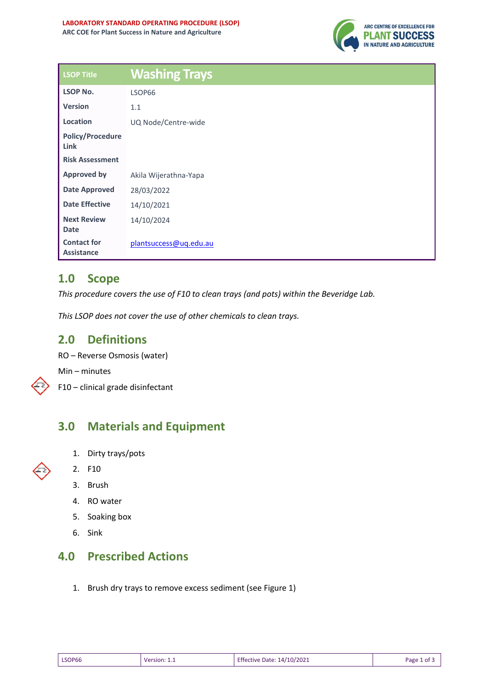

| <b>LSOP Title</b>                       | <b>Washing Trays</b>   |
|-----------------------------------------|------------------------|
| <b>LSOP No.</b>                         | LSOP66                 |
| <b>Version</b>                          | 1.1                    |
| Location                                | UQ Node/Centre-wide    |
| <b>Policy/Procedure</b><br>Link         |                        |
| <b>Risk Assessment</b>                  |                        |
| <b>Approved by</b>                      | Akila Wijerathna-Yapa  |
| <b>Date Approved</b>                    | 28/03/2022             |
| <b>Date Effective</b>                   | 14/10/2021             |
| <b>Next Review</b><br><b>Date</b>       | 14/10/2024             |
| <b>Contact for</b><br><b>Assistance</b> | plantsuccess@uq.edu.au |

### **1.0 Scope**

*This procedure covers the use of F10 to clean trays (and pots) within the Beveridge Lab.*

*This LSOP does not cover the use of other chemicals to clean trays.*

#### **2.0 Definitions**

RO – Reverse Osmosis (water)

Min – minutes

F10 – clinical grade disinfectant

### **3.0 Materials and Equipment**

- 1. Dirty trays/pots
- 2. F10
	- 3. Brush
	- 4. RO water
	- 5. Soaking box
	- 6. Sink

## **4.0 Prescribed Actions**

1. Brush dry trays to remove excess sediment (see Figure 1)

| <b>Effective Date: 14/10/2021</b><br>LSOP66<br>Version: " | Page 1 of |
|-----------------------------------------------------------|-----------|
|-----------------------------------------------------------|-----------|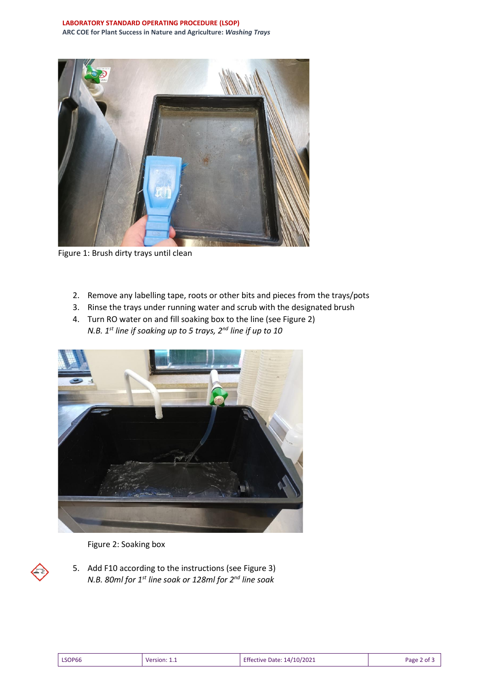

Figure 1: Brush dirty trays until clean

- 2. Remove any labelling tape, roots or other bits and pieces from the trays/pots
- 3. Rinse the trays under running water and scrub with the designated brush
- 4. Turn RO water on and fill soaking box to the line (see Figure 2) *N.B. 1st line if soaking up to 5 trays, 2nd line if up to 10*



Figure 2: Soaking box

5. Add F10 according to the instructions (see Figure 3) *N.B. 80ml for 1st line soak or 128ml for 2nd line soak*

|--|